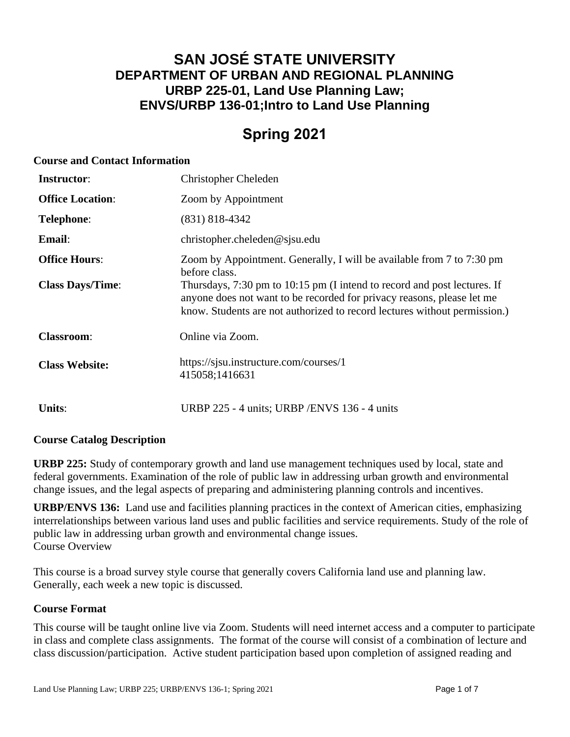# **SAN JOSÉ STATE UNIVERSITY DEPARTMENT OF URBAN AND REGIONAL PLANNING URBP 225-01, Land Use Planning Law; ENVS/URBP 136-01;Intro to Land Use Planning**

# **Spring 2021**

#### **Course and Contact Information**

| <b>Instructor:</b>      | <b>Christopher Cheleden</b>                                                                                                                                                                                                     |
|-------------------------|---------------------------------------------------------------------------------------------------------------------------------------------------------------------------------------------------------------------------------|
| <b>Office Location:</b> | Zoom by Appointment                                                                                                                                                                                                             |
| <b>Telephone:</b>       | $(831)$ 818-4342                                                                                                                                                                                                                |
| Email:                  | christopher.cheleden@sjsu.edu                                                                                                                                                                                                   |
| <b>Office Hours:</b>    | Zoom by Appointment. Generally, I will be available from 7 to 7:30 pm<br>before class.                                                                                                                                          |
| <b>Class Days/Time:</b> | Thursdays, 7:30 pm to 10:15 pm (I intend to record and post lectures. If<br>anyone does not want to be recorded for privacy reasons, please let me<br>know. Students are not authorized to record lectures without permission.) |
| <b>Classroom:</b>       | Online via Zoom.                                                                                                                                                                                                                |
| <b>Class Website:</b>   | https://sisu.instructure.com/courses/1<br>415058;1416631                                                                                                                                                                        |
| Units:                  | URBP 225 - 4 units; URBP / ENVS 136 - 4 units                                                                                                                                                                                   |

# **Course Catalog Description**

**URBP 225:** Study of contemporary growth and land use management techniques used by local, state and federal governments. Examination of the role of public law in addressing urban growth and environmental change issues, and the legal aspects of preparing and administering planning controls and incentives.

**URBP/ENVS 136:** Land use and facilities planning practices in the context of American cities, emphasizing interrelationships between various land uses and public facilities and service requirements. Study of the role of public law in addressing urban growth and environmental change issues. Course Overview

This course is a broad survey style course that generally covers California land use and planning law. Generally, each week a new topic is discussed.

# **Course Format**

This course will be taught online live via Zoom. Students will need internet access and a computer to participate in class and complete class assignments. The format of the course will consist of a combination of lecture and class discussion/participation. Active student participation based upon completion of assigned reading and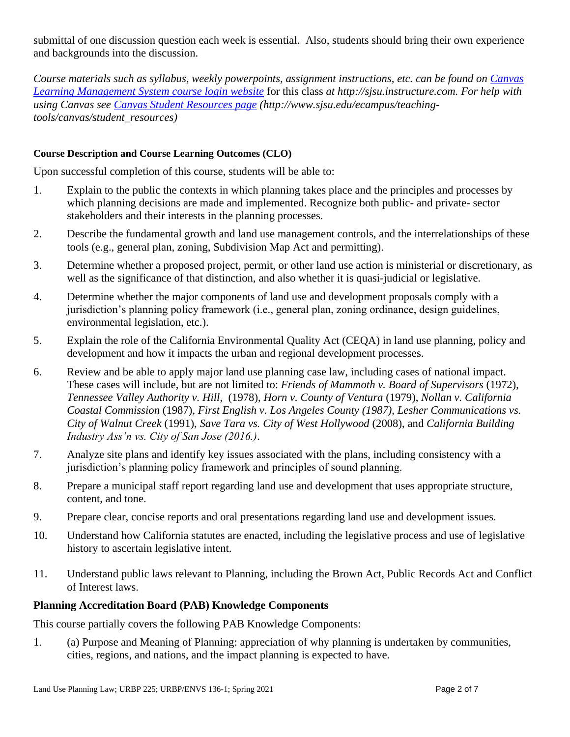submittal of one discussion question each week is essential. Also, students should bring their own experience and backgrounds into the discussion.

*Course materials such as syllabus, weekly powerpoints, assignment instructions, etc. can be found on [Canvas](file:///C:/Users/Spain/Desktop/2018/Outreach/Canvas%20Learning%20Management%20System%20course%20login%20website)  [Learning Management System course login website](file:///C:/Users/Spain/Desktop/2018/Outreach/Canvas%20Learning%20Management%20System%20course%20login%20website)* for this class *at http://sjsu.instructure.com. For help with using Canvas see [Canvas Student Resources page](http://www.sjsu.edu/ecampus/teaching-tools/canvas/student_resources) (http://www.sjsu.edu/ecampus/teachingtools/canvas/student\_resources)*

#### **Course Description and Course Learning Outcomes (CLO)**

Upon successful completion of this course, students will be able to:

- 1. Explain to the public the contexts in which planning takes place and the principles and processes by which planning decisions are made and implemented. Recognize both public- and private- sector stakeholders and their interests in the planning processes.
- 2. Describe the fundamental growth and land use management controls, and the interrelationships of these tools (e.g., general plan, zoning, Subdivision Map Act and permitting).
- 3. Determine whether a proposed project, permit, or other land use action is ministerial or discretionary, as well as the significance of that distinction, and also whether it is quasi-judicial or legislative.
- 4. Determine whether the major components of land use and development proposals comply with a jurisdiction's planning policy framework (i.e., general plan, zoning ordinance, design guidelines, environmental legislation, etc.).
- 5. Explain the role of the California Environmental Quality Act (CEQA) in land use planning, policy and development and how it impacts the urban and regional development processes.
- 6. Review and be able to apply major land use planning case law, including cases of national impact. These cases will include, but are not limited to: *Friends of Mammoth v. Board of Supervisors* (1972), *Tennessee Valley Authority v. Hill*, (1978), *Horn v. County of Ventura* (1979), *Nollan v. California Coastal Commission* (1987), *First English v. Los Angeles County (1987), Lesher Communications vs. City of Walnut Creek* (1991), *Save Tara vs. City of West Hollywood* (2008), and *California Building Industry Ass'n vs. City of San Jose (2016.)*.
- 7. Analyze site plans and identify key issues associated with the plans, including consistency with a jurisdiction's planning policy framework and principles of sound planning.
- 8. Prepare a municipal staff report regarding land use and development that uses appropriate structure, content, and tone.
- 9. Prepare clear, concise reports and oral presentations regarding land use and development issues.
- 10. Understand how California statutes are enacted, including the legislative process and use of legislative history to ascertain legislative intent.
- 11. Understand public laws relevant to Planning, including the Brown Act, Public Records Act and Conflict of Interest laws.

#### **Planning Accreditation Board (PAB) Knowledge Components**

This course partially covers the following PAB Knowledge Components:

1. (a) Purpose and Meaning of Planning: appreciation of why planning is undertaken by communities, cities, regions, and nations, and the impact planning is expected to have.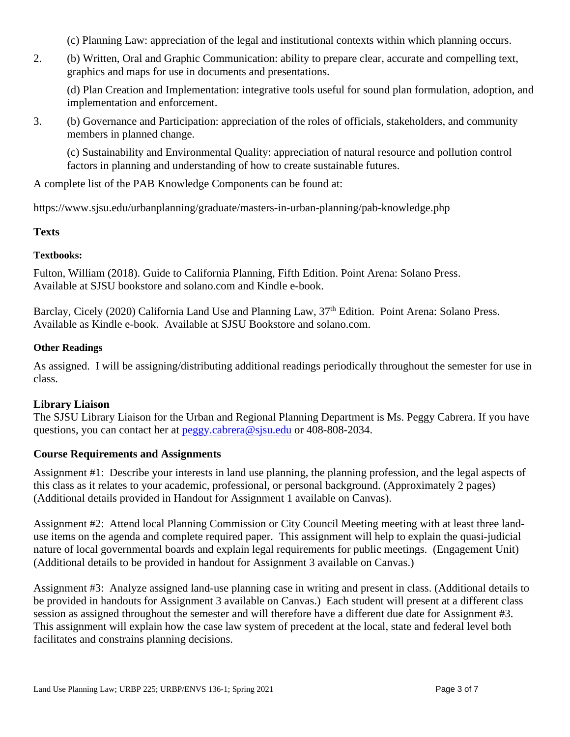(c) Planning Law: appreciation of the legal and institutional contexts within which planning occurs.

2. (b) Written, Oral and Graphic Communication: ability to prepare clear, accurate and compelling text, graphics and maps for use in documents and presentations.

(d) Plan Creation and Implementation: integrative tools useful for sound plan formulation, adoption, and implementation and enforcement.

3. (b) Governance and Participation: appreciation of the roles of officials, stakeholders, and community members in planned change.

(c) Sustainability and Environmental Quality: appreciation of natural resource and pollution control factors in planning and understanding of how to create sustainable futures.

A complete list of the PAB Knowledge Components can be found at:

https://www.sjsu.edu/urbanplanning/graduate/masters-in-urban-planning/pab-knowledge.php

#### **Texts**

#### **Textbooks:**

Fulton, William (2018). Guide to California Planning, Fifth Edition. Point Arena: Solano Press. Available at SJSU bookstore and solano.com and Kindle e-book.

Barclay, Cicely (2020) California Land Use and Planning Law, 37<sup>th</sup> Edition. Point Arena: Solano Press. Available as Kindle e-book. Available at SJSU Bookstore and solano.com.

#### **Other Readings**

As assigned. I will be assigning/distributing additional readings periodically throughout the semester for use in class.

# **Library Liaison**

The SJSU Library Liaison for the Urban and Regional Planning Department is Ms. Peggy Cabrera. If you have questions, you can contact her at [peggy.cabrera@sjsu.edu](mailto:peggy.cabrera@sjsu.edu) or 408-808-2034.

# **Course Requirements and Assignments**

Assignment #1: Describe your interests in land use planning, the planning profession, and the legal aspects of this class as it relates to your academic, professional, or personal background. (Approximately 2 pages) (Additional details provided in Handout for Assignment 1 available on Canvas).

Assignment #2: Attend local Planning Commission or City Council Meeting meeting with at least three landuse items on the agenda and complete required paper. This assignment will help to explain the quasi-judicial nature of local governmental boards and explain legal requirements for public meetings. (Engagement Unit) (Additional details to be provided in handout for Assignment 3 available on Canvas.)

Assignment #3: Analyze assigned land-use planning case in writing and present in class. (Additional details to be provided in handouts for Assignment 3 available on Canvas.) Each student will present at a different class session as assigned throughout the semester and will therefore have a different due date for Assignment #3. This assignment will explain how the case law system of precedent at the local, state and federal level both facilitates and constrains planning decisions.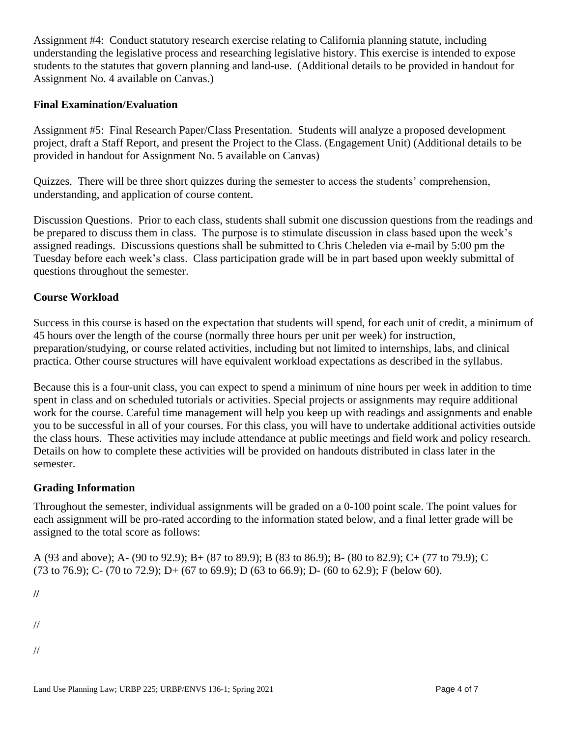Assignment #4: Conduct statutory research exercise relating to California planning statute, including understanding the legislative process and researching legislative history. This exercise is intended to expose students to the statutes that govern planning and land-use. (Additional details to be provided in handout for Assignment No. 4 available on Canvas.)

# **Final Examination/Evaluation**

Assignment #5: Final Research Paper/Class Presentation. Students will analyze a proposed development project, draft a Staff Report, and present the Project to the Class. (Engagement Unit) (Additional details to be provided in handout for Assignment No. 5 available on Canvas)

Quizzes. There will be three short quizzes during the semester to access the students' comprehension, understanding, and application of course content.

Discussion Questions. Prior to each class, students shall submit one discussion questions from the readings and be prepared to discuss them in class. The purpose is to stimulate discussion in class based upon the week's assigned readings. Discussions questions shall be submitted to Chris Cheleden via e-mail by 5:00 pm the Tuesday before each week's class. Class participation grade will be in part based upon weekly submittal of questions throughout the semester.

#### **Course Workload**

Success in this course is based on the expectation that students will spend, for each unit of credit, a minimum of 45 hours over the length of the course (normally three hours per unit per week) for instruction, preparation/studying, or course related activities, including but not limited to internships, labs, and clinical practica. Other course structures will have equivalent workload expectations as described in the syllabus.

Because this is a four-unit class, you can expect to spend a minimum of nine hours per week in addition to time spent in class and on scheduled tutorials or activities. Special projects or assignments may require additional work for the course. Careful time management will help you keep up with readings and assignments and enable you to be successful in all of your courses. For this class, you will have to undertake additional activities outside the class hours. These activities may include attendance at public meetings and field work and policy research. Details on how to complete these activities will be provided on handouts distributed in class later in the semester.

#### **Grading Information**

Throughout the semester, individual assignments will be graded on a 0-100 point scale. The point values for each assignment will be pro-rated according to the information stated below, and a final letter grade will be assigned to the total score as follows:

A (93 and above); A- (90 to 92.9); B+ (87 to 89.9); B (83 to 86.9); B- (80 to 82.9); C+ (77 to 79.9); C  $(73 \text{ to } 76.9)$ ; C-  $(70 \text{ to } 72.9)$ ; D+  $(67 \text{ to } 69.9)$ ; D $(63 \text{ to } 66.9)$ ; D- $(60 \text{ to } 62.9)$ ; F (below 60).

**//**

- //
- //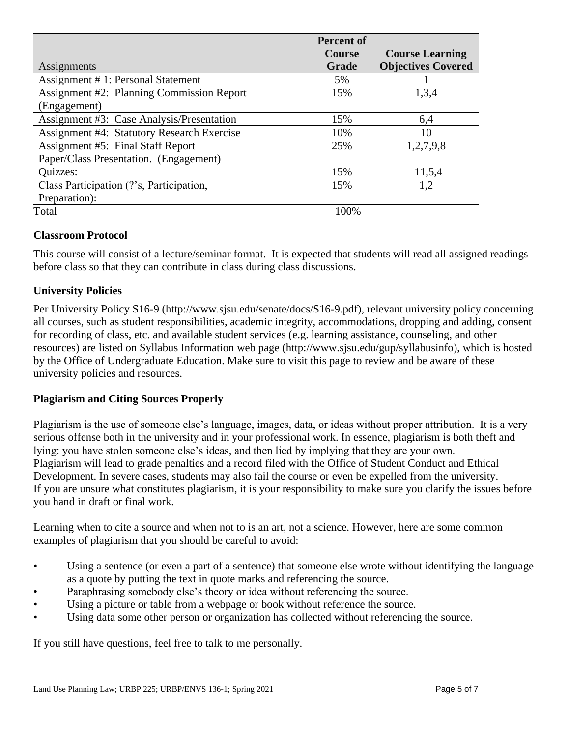|                                                   | <b>Percent of</b> |                           |
|---------------------------------------------------|-------------------|---------------------------|
|                                                   | <b>Course</b>     | <b>Course Learning</b>    |
| Assignments                                       | Grade             | <b>Objectives Covered</b> |
| Assignment # 1: Personal Statement                | 5%                |                           |
| <b>Assignment #2: Planning Commission Report</b>  | 15%               | 1,3,4                     |
| (Engagement)                                      |                   |                           |
| Assignment #3: Case Analysis/Presentation         | 15%               | 6,4                       |
| <b>Assignment #4: Statutory Research Exercise</b> | 10%               | 10                        |
| <b>Assignment #5: Final Staff Report</b>          | 25%               | 1,2,7,9,8                 |
| Paper/Class Presentation. (Engagement)            |                   |                           |
| Quizzes:                                          | 15%               | 11,5,4                    |
| Class Participation (?'s, Participation,          | 15%               | 1,2                       |
| Preparation):                                     |                   |                           |
| Total                                             | 100%              |                           |

# **Classroom Protocol**

This course will consist of a lecture/seminar format. It is expected that students will read all assigned readings before class so that they can contribute in class during class discussions.

# **University Policies**

Per University Policy S16-9 (http://www.sjsu.edu/senate/docs/S16-9.pdf), relevant university policy concerning all courses, such as student responsibilities, academic integrity, accommodations, dropping and adding, consent for recording of class, etc. and available student services (e.g. learning assistance, counseling, and other resources) are listed on Syllabus Information web page (http://www.sjsu.edu/gup/syllabusinfo), which is hosted by the Office of Undergraduate Education. Make sure to visit this page to review and be aware of these university policies and resources.

# **Plagiarism and Citing Sources Properly**

Plagiarism is the use of someone else's language, images, data, or ideas without proper attribution. It is a very serious offense both in the university and in your professional work. In essence, plagiarism is both theft and lying: you have stolen someone else's ideas, and then lied by implying that they are your own. Plagiarism will lead to grade penalties and a record filed with the Office of Student Conduct and Ethical Development. In severe cases, students may also fail the course or even be expelled from the university. If you are unsure what constitutes plagiarism, it is your responsibility to make sure you clarify the issues before you hand in draft or final work.

Learning when to cite a source and when not to is an art, not a science. However, here are some common examples of plagiarism that you should be careful to avoid:

- Using a sentence (or even a part of a sentence) that someone else wrote without identifying the language as a quote by putting the text in quote marks and referencing the source.
- Paraphrasing somebody else's theory or idea without referencing the source.
- Using a picture or table from a webpage or book without reference the source.
- Using data some other person or organization has collected without referencing the source.

If you still have questions, feel free to talk to me personally.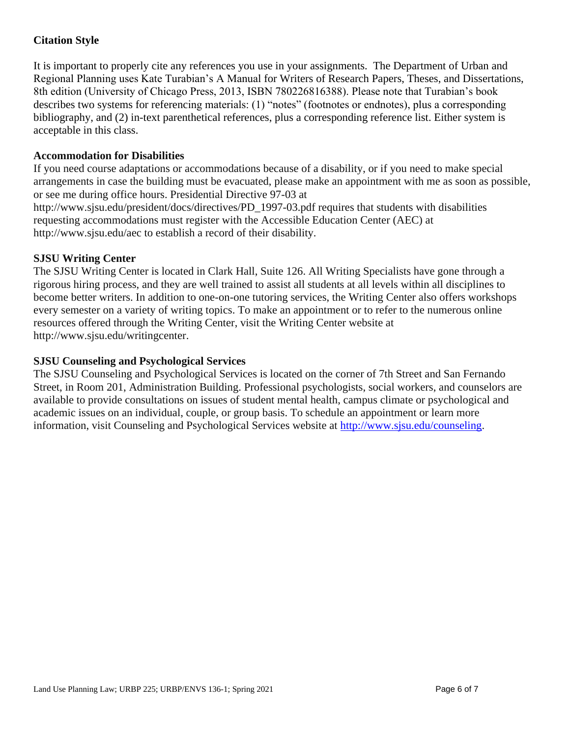# **Citation Style**

It is important to properly cite any references you use in your assignments. The Department of Urban and Regional Planning uses Kate Turabian's A Manual for Writers of Research Papers, Theses, and Dissertations, 8th edition (University of Chicago Press, 2013, ISBN 780226816388). Please note that Turabian's book describes two systems for referencing materials: (1) "notes" (footnotes or endnotes), plus a corresponding bibliography, and (2) in-text parenthetical references, plus a corresponding reference list. Either system is acceptable in this class.

#### **Accommodation for Disabilities**

If you need course adaptations or accommodations because of a disability, or if you need to make special arrangements in case the building must be evacuated, please make an appointment with me as soon as possible, or see me during office hours. Presidential Directive 97-03 at http://www.sjsu.edu/president/docs/directives/PD\_1997-03.pdf requires that students with disabilities requesting accommodations must register with the Accessible Education Center (AEC) at http://www.sjsu.edu/aec to establish a record of their disability.

# **SJSU Writing Center**

The SJSU Writing Center is located in Clark Hall, Suite 126. All Writing Specialists have gone through a rigorous hiring process, and they are well trained to assist all students at all levels within all disciplines to become better writers. In addition to one-on-one tutoring services, the Writing Center also offers workshops every semester on a variety of writing topics. To make an appointment or to refer to the numerous online resources offered through the Writing Center, visit the Writing Center website at http://www.sjsu.edu/writingcenter.

#### **SJSU Counseling and Psychological Services**

The SJSU Counseling and Psychological Services is located on the corner of 7th Street and San Fernando Street, in Room 201, Administration Building. Professional psychologists, social workers, and counselors are available to provide consultations on issues of student mental health, campus climate or psychological and academic issues on an individual, couple, or group basis. To schedule an appointment or learn more information, visit Counseling and Psychological Services website at [http://www.sjsu.edu/counseling.](http://www.sjsu.edu/counseling)